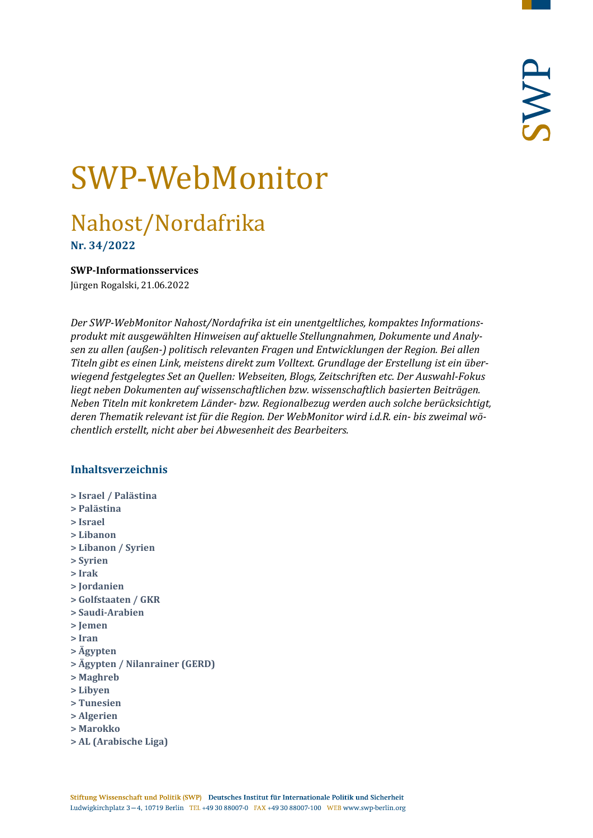# SWP-WebMonitor

# Nahost/Nordafrika

**Nr. 34/2022**

#### <span id="page-0-0"></span>**SWP-Informationsservices**

Jürgen Rogalski, 21.06.2022

*Der SWP-WebMonitor Nahost/Nordafrika ist ein unentgeltliches, kompaktes Informationsprodukt mit ausgewählten Hinweisen auf aktuelle Stellungnahmen, Dokumente und Analysen zu allen (außen-) politisch relevanten Fragen und Entwicklungen der Region. Bei allen Titeln gibt es einen Link, meistens direkt zum Volltext. Grundlage der Erstellung ist ein überwiegend festgelegtes Set an Quellen: Webseiten, Blogs, Zeitschriften etc. Der Auswahl-Fokus liegt neben Dokumenten auf wissenschaftlichen bzw. wissenschaftlich basierten Beiträgen. Neben Titeln mit konkretem Länder- bzw. Regionalbezug werden auch solche berücksichtigt, deren Thematik relevant ist für die Region. Der WebMonitor wird i.d.R. ein- bis zweimal wöchentlich erstellt, nicht aber bei Abwesenheit des Bearbeiters.*

# **Inhaltsverzeichnis**

- **[> Israel / Palästina](#page-1-0)**
- **[> Palästina](#page-1-1)**
- **[> Israel](#page-2-0)**
- **[> Libanon](#page-3-0)**
- **[> Libanon / Syrien](#page-4-0)**
- **[> Syrien](#page-4-1)**
- **[> Irak](#page-6-0)**
- **[> Jordanien](#page-7-0)**
- **[> Golfstaaten / GKR](#page-8-0)**
- **[> Saudi-Arabien](#page-8-1)**
- **[> Jemen](#page-9-0)**
- **[> Iran](#page-9-1)**
- **[> Ägypten](#page-10-0)**
- **[> Ägypten / Nilanrainer \(GERD\)](#page-11-0)**
- **[> Maghreb](#page-12-0)**
- **[> Libyen](#page-12-1)**
- **[> Tunesien](#page-12-2)**
- **[> Algerien](#page-13-0)**
- **[> Marokko](#page-13-1)**
- **[> AL \(Arabische Liga\)](#page-13-2)**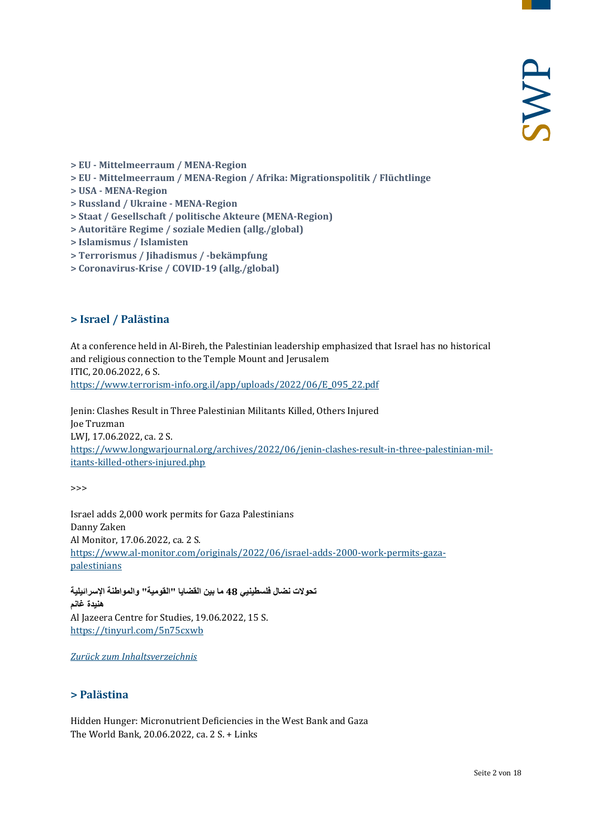- **> EU - [Mittelmeerraum / MENA-Region](#page-14-0)**
- **> EU - [Mittelmeerraum / MENA-Region / Afrika: Migrationspolitik / Flüchtlinge](#page-14-1)**
- **> USA - [MENA-Region](#page-14-2)**
- **[> Russland / Ukraine -](#page-14-3) MENA-Region**
- **[> Staat / Gesellschaft / politische Akteure \(MENA-Region\)](#page-14-4)**
- **[> Autoritäre Regime / soziale Medien \(allg./global\)](#page-15-0)**
- **[> Islamismus / Islamisten](#page-15-1)**
- **[> Terrorismus / Jihadismus / -bekämpfung](#page-15-2)**
- <span id="page-1-0"></span>**[> Coronavirus-Krise / COVID-19 \(allg./global\)](#page-16-0)**

#### **> Israel / Palästina**

At a conference held in Al-Bireh, the Palestinian leadership emphasized that Israel has no historical and religious connection to the Temple Mount and Jerusalem ITIC, 20.06.2022, 6 S. [https://www.terrorism-info.org.il/app/uploads/2022/06/E\\_095\\_22.pdf](https://www.terrorism-info.org.il/app/uploads/2022/06/E_095_22.pdf)

Jenin: Clashes Result in Three Palestinian Militants Killed, Others Injured Joe Truzman LWJ, 17.06.2022, ca. 2 S. [https://www.longwarjournal.org/archives/2022/06/jenin-clashes-result-in-three-palestinian-mil](https://www.longwarjournal.org/archives/2022/06/jenin-clashes-result-in-three-palestinian-militants-killed-others-injured.php)[itants-killed-others-injured.php](https://www.longwarjournal.org/archives/2022/06/jenin-clashes-result-in-three-palestinian-militants-killed-others-injured.php)

>>>

Israel adds 2,000 work permits for Gaza Palestinians Danny Zaken Al Monitor, 17.06.2022, ca. 2 S. [https://www.al-monitor.com/originals/2022/06/israel-adds-2000-work-permits-gaza](https://www.al-monitor.com/originals/2022/06/israel-adds-2000-work-permits-gaza-palestinians)[palestinians](https://www.al-monitor.com/originals/2022/06/israel-adds-2000-work-permits-gaza-palestinians)

**تحولات نضال فلسطینیي 48 ما بین القضایا "القومیة" والمواطنة الإسرائیلیة ھنیدة غانم** Al Jazeera Centre for Studies, 19.06.2022, 15 S. <https://tinyurl.com/5n75cxwb>

<span id="page-1-1"></span>*[Zurück zum Inhaltsverzeichnis](#page-0-0)*

#### **> Palästina**

Hidden Hunger: Micronutrient Deficiencies in the West Bank and Gaza The World Bank, 20.06.2022, ca. 2 S. + Links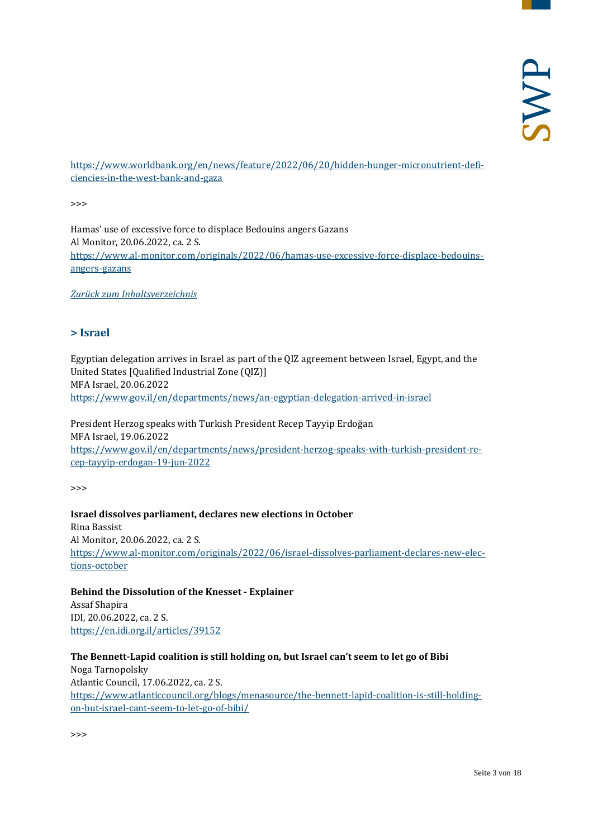[https://www.worldbank.org/en/news/feature/2022/06/20/hidden-hunger-micronutrient-defi](https://www.worldbank.org/en/news/feature/2022/06/20/hidden-hunger-micronutrient-deficiencies-in-the-west-bank-and-gaza)[ciencies-in-the-west-bank-and-gaza](https://www.worldbank.org/en/news/feature/2022/06/20/hidden-hunger-micronutrient-deficiencies-in-the-west-bank-and-gaza)

>>>

Hamas' use of excessive force to displace Bedouins angers Gazans Al Monitor, 20.06.2022, ca. 2 S. [https://www.al-monitor.com/originals/2022/06/hamas-use-excessive-force-displace-bedouins](https://www.al-monitor.com/originals/2022/06/hamas-use-excessive-force-displace-bedouins-angers-gazans)[angers-gazans](https://www.al-monitor.com/originals/2022/06/hamas-use-excessive-force-displace-bedouins-angers-gazans)

<span id="page-2-0"></span>*[Zurück zum Inhaltsverzeichnis](#page-0-0)*

#### **> Israel**

Egyptian delegation arrives in Israel as part of the QIZ agreement between Israel, Egypt, and the United States [Qualified Industrial Zone (QIZ)] MFA Israel, 20.06.2022 <https://www.gov.il/en/departments/news/an-egyptian-delegation-arrived-in-israel>

President Herzog speaks with Turkish President Recep Tayyip Erdoğan MFA Israel, 19.06.2022 [https://www.gov.il/en/departments/news/president-herzog-speaks-with-turkish-president-re](https://www.gov.il/en/departments/news/president-herzog-speaks-with-turkish-president-recep-tayyip-erdogan-19-jun-2022)[cep-tayyip-erdogan-19-jun-2022](https://www.gov.il/en/departments/news/president-herzog-speaks-with-turkish-president-recep-tayyip-erdogan-19-jun-2022)

>>>

**Israel dissolves parliament, declares new elections in October** Rina Bassist Al Monitor, 20.06.2022, ca. 2 S. [https://www.al-monitor.com/originals/2022/06/israel-dissolves-parliament-declares-new-elec](https://www.al-monitor.com/originals/2022/06/israel-dissolves-parliament-declares-new-elections-october)[tions-october](https://www.al-monitor.com/originals/2022/06/israel-dissolves-parliament-declares-new-elections-october)

**Behind the Dissolution of the Knesset - Explainer** Assaf Shapira IDI, 20.06.2022, ca. 2 S. <https://en.idi.org.il/articles/39152>

**The Bennett-Lapid coalition is still holding on, but Israel can't seem to let go of Bibi** Noga Tarnopolsky Atlantic Council, 17.06.2022, ca. 2 S. [https://www.atlanticcouncil.org/blogs/menasource/the-bennett-lapid-coalition-is-still-holding](https://www.atlanticcouncil.org/blogs/menasource/the-bennett-lapid-coalition-is-still-holding-on-but-israel-cant-seem-to-let-go-of-bibi/)[on-but-israel-cant-seem-to-let-go-of-bibi/](https://www.atlanticcouncil.org/blogs/menasource/the-bennett-lapid-coalition-is-still-holding-on-but-israel-cant-seem-to-let-go-of-bibi/)

>>>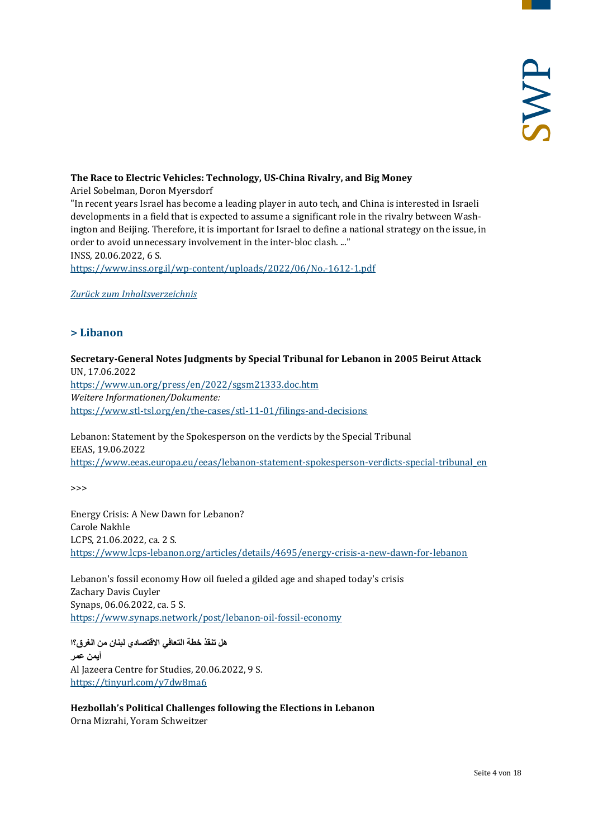#### **The Race to Electric Vehicles: Technology, US-China Rivalry, and Big Money**

Ariel Sobelman, Doron Myersdorf

"In recent years Israel has become a leading player in auto tech, and China is interested in Israeli developments in a field that is expected to assume a significant role in the rivalry between Washington and Beijing. Therefore, it is important for Israel to define a national strategy on the issue, in order to avoid unnecessary involvement in the inter-bloc clash. ..." INSS, 20.06.2022, 6 S.

<https://www.inss.org.il/wp-content/uploads/2022/06/No.-1612-1.pdf>

<span id="page-3-0"></span>*[Zurück zum Inhaltsverzeichnis](#page-0-0)*

# **> Libanon**

# **Secretary-General Notes Judgments by Special Tribunal for Lebanon in 2005 Beirut Attack** UN, 17.06.2022

<https://www.un.org/press/en/2022/sgsm21333.doc.htm> *Weitere Informationen/Dokumente:* <https://www.stl-tsl.org/en/the-cases/stl-11-01/filings-and-decisions>

#### Lebanon: Statement by the Spokesperson on the verdicts by the Special Tribunal EEAS, 19.06.2022 [https://www.eeas.europa.eu/eeas/lebanon-statement-spokesperson-verdicts-special-tribunal\\_en](https://www.eeas.europa.eu/eeas/lebanon-statement-spokesperson-verdicts-special-tribunal_en)

>>>

Energy Crisis: A New Dawn for Lebanon? Carole Nakhle LCPS, 21.06.2022, ca. 2 S. <https://www.lcps-lebanon.org/articles/details/4695/energy-crisis-a-new-dawn-for-lebanon>

Lebanon's fossil economy How oil fueled a gilded age and shaped today's crisis Zachary Davis Cuyler Synaps, 06.06.2022, ca. 5 S. <https://www.synaps.network/post/lebanon-oil-fossil-economy>

**ھل تنقذ خطة التعافي الاقتصادي لبنان من الغرق؟ا أیمن عمر** Al Jazeera Centre for Studies, 20.06.2022, 9 S. <https://tinyurl.com/y7dw8ma6>

**Hezbollah's Political Challenges following the Elections in Lebanon** Orna Mizrahi, Yoram Schweitzer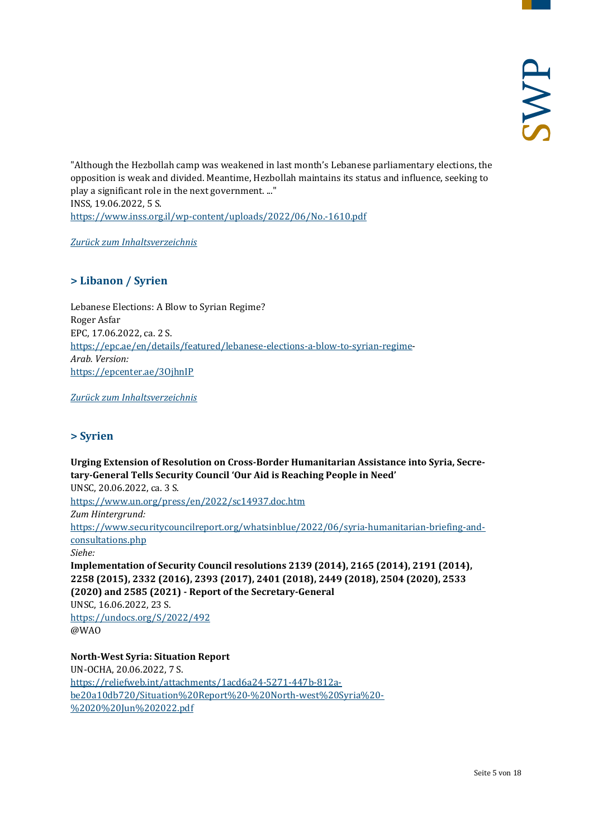"Although the Hezbollah camp was weakened in last month's Lebanese parliamentary elections, the opposition is weak and divided. Meantime, Hezbollah maintains its status and influence, seeking to play a significant role in the next government. ..." INSS, 19.06.2022, 5 S. <https://www.inss.org.il/wp-content/uploads/2022/06/No.-1610.pdf>

<span id="page-4-0"></span>*[Zurück zum Inhaltsverzeichnis](#page-0-0)*

# **> Libanon / Syrien**

Lebanese Elections: A Blow to Syrian Regime? Roger Asfar EPC, 17.06.2022, ca. 2 S. [https://epc.ae/en/details/featured/lebanese-elections-a-blow-to-syrian-regime-](https://epc.ae/en/details/featured/lebanese-elections-a-blow-to-syrian-regime)*Arab. Version:* <https://epcenter.ae/3OjhnIP>

<span id="page-4-1"></span>*[Zurück zum Inhaltsverzeichnis](#page-0-0)*

# **> Syrien**

**Urging Extension of Resolution on Cross-Border Humanitarian Assistance into Syria, Secretary-General Tells Security Council 'Our Aid is Reaching People in Need'** UNSC, 20.06.2022, ca. 3 S. <https://www.un.org/press/en/2022/sc14937.doc.htm> *Zum Hintergrund:* [https://www.securitycouncilreport.org/whatsinblue/2022/06/syria-humanitarian-briefing-and](https://www.securitycouncilreport.org/whatsinblue/2022/06/syria-humanitarian-briefing-and-consultations.php)[consultations.php](https://www.securitycouncilreport.org/whatsinblue/2022/06/syria-humanitarian-briefing-and-consultations.php) *Siehe:* **Implementation of Security Council resolutions 2139 (2014), 2165 (2014), 2191 (2014), 2258 (2015), 2332 (2016), 2393 (2017), 2401 (2018), 2449 (2018), 2504 (2020), 2533 (2020) and 2585 (2021) - Report of the Secretary-General** UNSC, 16.06.2022, 23 S. <https://undocs.org/S/2022/492> @WAO

**North-West Syria: Situation Report** UN-OCHA, 20.06.2022, 7 S. [https://reliefweb.int/attachments/1acd6a24-5271-447b-812a](https://reliefweb.int/attachments/1acd6a24-5271-447b-812a-be20a10db720/Situation%20Report%20-%20North-west%20Syria%20-%2020%20Jun%202022.pdf)[be20a10db720/Situation%20Report%20-%20North-west%20Syria%20-](https://reliefweb.int/attachments/1acd6a24-5271-447b-812a-be20a10db720/Situation%20Report%20-%20North-west%20Syria%20-%2020%20Jun%202022.pdf) [%2020%20Jun%202022.pdf](https://reliefweb.int/attachments/1acd6a24-5271-447b-812a-be20a10db720/Situation%20Report%20-%20North-west%20Syria%20-%2020%20Jun%202022.pdf)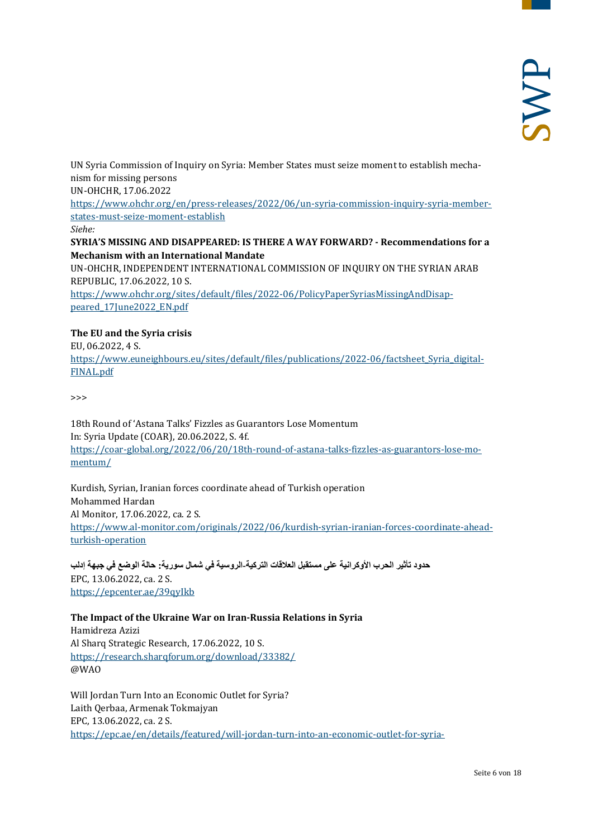UN Syria Commission of Inquiry on Syria: Member States must seize moment to establish mechanism for missing persons

UN-OHCHR, 17.06.2022

[https://www.ohchr.org/en/press-releases/2022/06/un-syria-commission-inquiry-syria-member](https://www.ohchr.org/en/press-releases/2022/06/un-syria-commission-inquiry-syria-member-states-must-seize-moment-establish)[states-must-seize-moment-establish](https://www.ohchr.org/en/press-releases/2022/06/un-syria-commission-inquiry-syria-member-states-must-seize-moment-establish)

*Siehe:*

**SYRIA'S MISSING AND DISAPPEARED: IS THERE A WAY FORWARD? - Recommendations for a Mechanism with an International Mandate**

UN-OHCHR, INDEPENDENT INTERNATIONAL COMMISSION OF INQUIRY ON THE SYRIAN ARAB REPUBLIC, 17.06.2022, 10 S.

[https://www.ohchr.org/sites/default/files/2022-06/PolicyPaperSyriasMissingAndDisap](https://www.ohchr.org/sites/default/files/2022-06/PolicyPaperSyriasMissingAndDisappeared_17June2022_EN.pdf)[peared\\_17June2022\\_EN.pdf](https://www.ohchr.org/sites/default/files/2022-06/PolicyPaperSyriasMissingAndDisappeared_17June2022_EN.pdf)

# **The EU and the Syria crisis**

EU, 06.2022, 4 S.

https://www.euneighbours.eu/sites/default/files/publications/2022-06/factsheet Syria\_digital-[FINAL.pdf](https://www.euneighbours.eu/sites/default/files/publications/2022-06/factsheet_Syria_digital-FINAL.pdf)

>>>

18th Round of 'Astana Talks' Fizzles as Guarantors Lose Momentum In: Syria Update (COAR), 20.06.2022, S. 4f. [https://coar-global.org/2022/06/20/18th-round-of-astana-talks-fizzles-as-guarantors-lose-mo](https://coar-global.org/2022/06/20/18th-round-of-astana-talks-fizzles-as-guarantors-lose-momentum/)[mentum/](https://coar-global.org/2022/06/20/18th-round-of-astana-talks-fizzles-as-guarantors-lose-momentum/)

Kurdish, Syrian, Iranian forces coordinate ahead of Turkish operation Mohammed Hardan Al Monitor, 17.06.2022, ca. 2 S. [https://www.al-monitor.com/originals/2022/06/kurdish-syrian-iranian-forces-coordinate-ahead](https://www.al-monitor.com/originals/2022/06/kurdish-syrian-iranian-forces-coordinate-ahead-turkish-operation)[turkish-operation](https://www.al-monitor.com/originals/2022/06/kurdish-syrian-iranian-forces-coordinate-ahead-turkish-operation)

**حدود تأثیر الحرب الأوكرانیة على مستقبل العلاقات التركیة-الروسیة في شمال سوریة: حالة الوضع في جبھة إدلب** EPC, 13.06.2022, ca. 2 S. <https://epcenter.ae/39qyIkb>

#### **The Impact of the Ukraine War on Iran-Russia Relations in Syria**

Hamidreza Azizi Al Sharq Strategic Research, 17.06.2022, 10 S. <https://research.sharqforum.org/download/33382/> @WAO

Will Jordan Turn Into an Economic Outlet for Syria? Laith Qerbaa, Armenak Tokmajyan EPC, 13.06.2022, ca. 2 S. <https://epc.ae/en/details/featured/will-jordan-turn-into-an-economic-outlet-for-syria->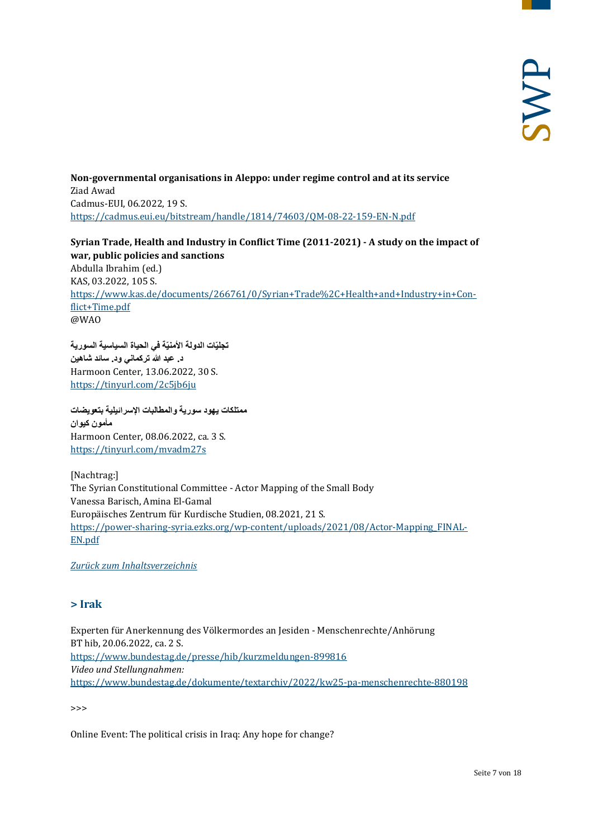**Non-governmental organisations in Aleppo: under regime control and at its service** Ziad Awad Cadmus-EUI, 06.2022, 19 S. <https://cadmus.eui.eu/bitstream/handle/1814/74603/QM-08-22-159-EN-N.pdf>

**Syrian Trade, Health and Industry in Conflict Time (2011-2021) - A study on the impact of war, public policies and sanctions** Abdulla Ibrahim (ed.) KAS, 03.2022, 105 S. [https://www.kas.de/documents/266761/0/Syrian+Trade%2C+Health+and+Industry+in+Con](https://www.kas.de/documents/266761/0/Syrian+Trade%2C+Health+and+Industry+in+Conflict+Time.pdf)[flict+Time.pdf](https://www.kas.de/documents/266761/0/Syrian+Trade%2C+Health+and+Industry+in+Conflict+Time.pdf) @WAO

**ّة في الحیاة السیاسیة السوریة ّات الدولة الأمنی تجلی د. عبد الله تركماني ود. سائد شاھین** Harmoon Center, 13.06.2022, 30 S. <https://tinyurl.com/2c5jb6ju>

**ممتلكات یھود سوریة والمطالبات الإسرائیلیة بتعویضات مأمون كیوان** Harmoon Center, 08.06.2022, ca. 3 S. <https://tinyurl.com/mvadm27s>

[Nachtrag:] The Syrian Constitutional Committee - Actor Mapping of the Small Body Vanessa Barisch, Amina El-Gamal Europäisches Zentrum für Kurdische Studien, 08.2021, 21 S. [https://power-sharing-syria.ezks.org/wp-content/uploads/2021/08/Actor-Mapping\\_FINAL-](https://power-sharing-syria.ezks.org/wp-content/uploads/2021/08/Actor-Mapping_FINAL-EN.pdf)[EN.pdf](https://power-sharing-syria.ezks.org/wp-content/uploads/2021/08/Actor-Mapping_FINAL-EN.pdf)

<span id="page-6-0"></span>*[Zurück zum Inhaltsverzeichnis](#page-0-0)*

# **> Irak**

Experten für Anerkennung des Völkermordes an Jesiden - Menschenrechte/Anhörung BT hib, 20.06.2022, ca. 2 S. <https://www.bundestag.de/presse/hib/kurzmeldungen-899816> *Video und Stellungnahmen:* <https://www.bundestag.de/dokumente/textarchiv/2022/kw25-pa-menschenrechte-880198>

>>>

Online Event: The political crisis in Iraq: Any hope for change?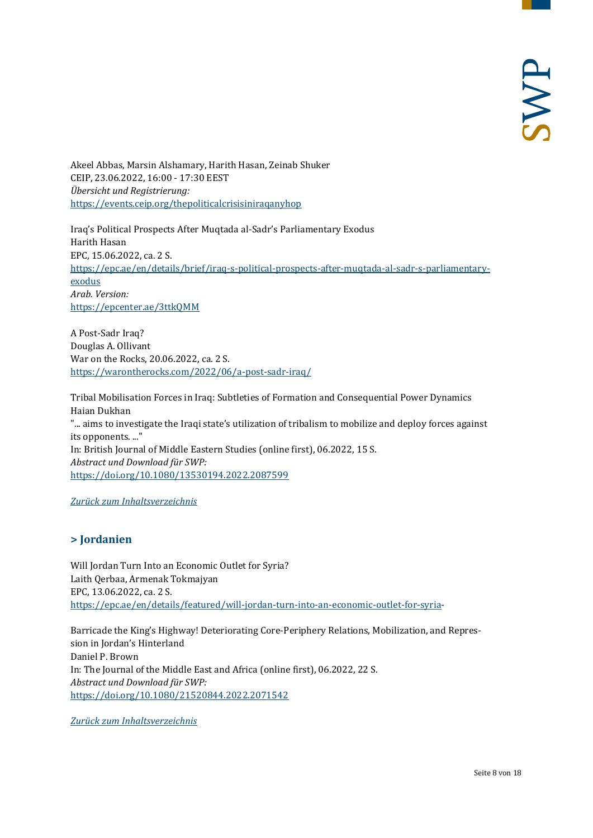Akeel Abbas, Marsin Alshamary, Harith Hasan, Zeinab Shuker CEIP, 23.06.2022, 16:00 - 17:30 EEST *Übersicht und Registrierung:* <https://events.ceip.org/thepoliticalcrisisiniraqanyhop>

Iraq's Political Prospects After Muqtada al-Sadr's Parliamentary Exodus Harith Hasan EPC, 15.06.2022, ca. 2 S. [https://epc.ae/en/details/brief/iraq-s-political-prospects-after-muqtada-al-sadr-s-parliamentary](https://epc.ae/en/details/brief/iraq-s-political-prospects-after-muqtada-al-sadr-s-parliamentary-exodus)[exodus](https://epc.ae/en/details/brief/iraq-s-political-prospects-after-muqtada-al-sadr-s-parliamentary-exodus) *Arab. Version:* <https://epcenter.ae/3ttkQMM>

A Post-Sadr Iraq? Douglas A. Ollivant War on the Rocks, 20.06.2022, ca. 2 S. <https://warontherocks.com/2022/06/a-post-sadr-iraq/>

Tribal Mobilisation Forces in Iraq: Subtleties of Formation and Consequential Power Dynamics Haian Dukhan "... aims to investigate the Iraqi state's utilization of tribalism to mobilize and deploy forces against its opponents. ..." In: British Journal of Middle Eastern Studies (online first), 06.2022, 15 S. *Abstract und Download für SWP:* <https://doi.org/10.1080/13530194.2022.2087599>

<span id="page-7-0"></span>*[Zurück zum Inhaltsverzeichnis](#page-0-0)*

# **> Jordanien**

Will Jordan Turn Into an Economic Outlet for Syria? Laith Qerbaa, Armenak Tokmajyan EPC, 13.06.2022, ca. 2 S. [https://epc.ae/en/details/featured/will-jordan-turn-into-an-economic-outlet-for-syria-](https://epc.ae/en/details/featured/will-jordan-turn-into-an-economic-outlet-for-syria)

Barricade the King's Highway! Deteriorating Core-Periphery Relations, Mobilization, and Repression in Jordan's Hinterland Daniel P. Brown In: The Journal of the Middle East and Africa (online first), 06.2022, 22 S. *Abstract und Download für SWP:* <https://doi.org/10.1080/21520844.2022.2071542>

*[Zurück zum Inhaltsverzeichnis](#page-0-0)*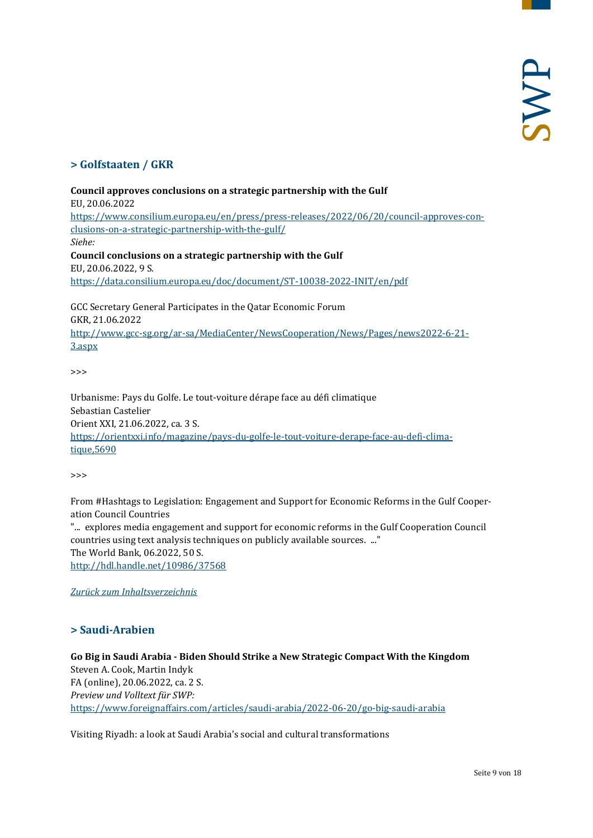# <span id="page-8-0"></span>**> Golfstaaten / GKR**

#### **Council approves conclusions on a strategic partnership with the Gulf**

EU, 20.06.2022

[https://www.consilium.europa.eu/en/press/press-releases/2022/06/20/council-approves-con](https://www.consilium.europa.eu/en/press/press-releases/2022/06/20/council-approves-conclusions-on-a-strategic-partnership-with-the-gulf/)[clusions-on-a-strategic-partnership-with-the-gulf/](https://www.consilium.europa.eu/en/press/press-releases/2022/06/20/council-approves-conclusions-on-a-strategic-partnership-with-the-gulf/) *Siehe:* **Council conclusions on a strategic partnership with the Gulf**

EU, 20.06.2022, 9 S. <https://data.consilium.europa.eu/doc/document/ST-10038-2022-INIT/en/pdf>

GCC Secretary General Participates in the Qatar Economic Forum GKR, 21.06.2022 [http://www.gcc-sg.org/ar-sa/MediaCenter/NewsCooperation/News/Pages/news2022-6-21-](http://www.gcc-sg.org/ar-sa/MediaCenter/NewsCooperation/News/Pages/news2022-6-21-3.aspx) [3.aspx](http://www.gcc-sg.org/ar-sa/MediaCenter/NewsCooperation/News/Pages/news2022-6-21-3.aspx)

>>>

Urbanisme: Pays du Golfe. Le tout-voiture dérape face au défi climatique Sebastian Castelier Orient XXI, 21.06.2022, ca. 3 S. [https://orientxxi.info/magazine/pays-du-golfe-le-tout-voiture-derape-face-au-defi-clima](https://orientxxi.info/magazine/pays-du-golfe-le-tout-voiture-derape-face-au-defi-climatique,5690)[tique,5690](https://orientxxi.info/magazine/pays-du-golfe-le-tout-voiture-derape-face-au-defi-climatique,5690)

>>>

From #Hashtags to Legislation: Engagement and Support for Economic Reforms in the Gulf Cooperation Council Countries "... explores media engagement and support for economic reforms in the Gulf Cooperation Council countries using text analysis techniques on publicly available sources. ..." The World Bank, 06.2022, 50 S. <http://hdl.handle.net/10986/37568>

<span id="page-8-1"></span>*[Zurück zum Inhaltsverzeichnis](#page-0-0)*

# **> Saudi-Arabien**

**Go Big in Saudi Arabia - Biden Should Strike a New Strategic Compact With the Kingdom** Steven A. Cook, Martin Indyk FA (online), 20.06.2022, ca. 2 S. *Preview und Volltext für SWP:* <https://www.foreignaffairs.com/articles/saudi-arabia/2022-06-20/go-big-saudi-arabia>

Visiting Riyadh: a look at Saudi Arabia's social and cultural transformations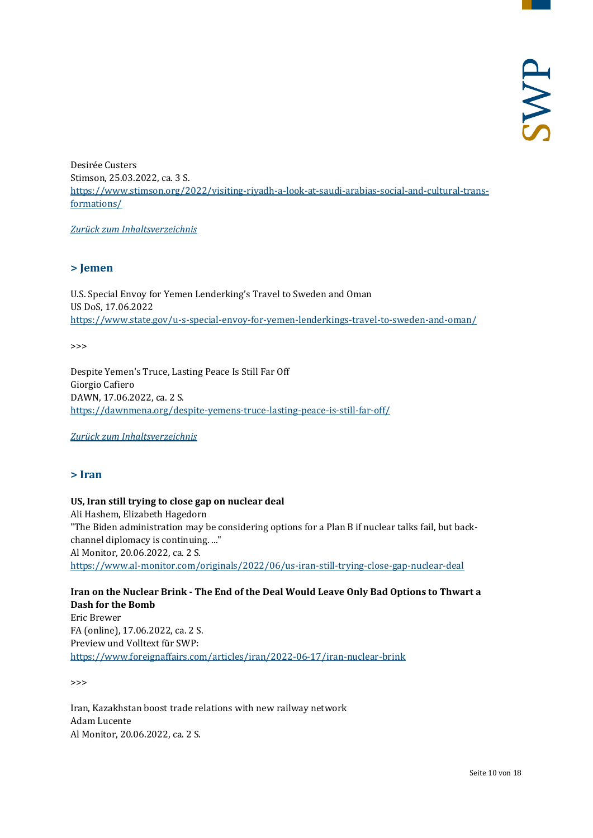Desirée Custers Stimson, 25.03.2022, ca. 3 S. [https://www.stimson.org/2022/visiting-riyadh-a-look-at-saudi-arabias-social-and-cultural-trans](https://www.stimson.org/2022/visiting-riyadh-a-look-at-saudi-arabias-social-and-cultural-transformations/)[formations/](https://www.stimson.org/2022/visiting-riyadh-a-look-at-saudi-arabias-social-and-cultural-transformations/)

<span id="page-9-0"></span>*[Zurück zum Inhaltsverzeichnis](#page-0-0)*

# **> Jemen**

U.S. Special Envoy for Yemen Lenderking's Travel to Sweden and Oman US DoS, 17.06.2022 <https://www.state.gov/u-s-special-envoy-for-yemen-lenderkings-travel-to-sweden-and-oman/>

>>>

Despite Yemen's Truce, Lasting Peace Is Still Far Off Giorgio Cafiero DAWN, 17.06.2022, ca. 2 S. <https://dawnmena.org/despite-yemens-truce-lasting-peace-is-still-far-off/>

<span id="page-9-1"></span>*[Zurück zum Inhaltsverzeichnis](#page-0-0)*

#### **> Iran**

# **US, Iran still trying to close gap on nuclear deal** Ali Hashem, Elizabeth Hagedorn "The Biden administration may be considering options for a Plan B if nuclear talks fail, but backchannel diplomacy is continuing. ..." Al Monitor, 20.06.2022, ca. 2 S. <https://www.al-monitor.com/originals/2022/06/us-iran-still-trying-close-gap-nuclear-deal>

#### **Iran on the Nuclear Brink - The End of the Deal Would Leave Only Bad Options to Thwart a Dash for the Bomb** Eric Brewer FA (online), 17.06.2022, ca. 2 S. Preview und Volltext für SWP: <https://www.foreignaffairs.com/articles/iran/2022-06-17/iran-nuclear-brink>

>>>

Iran, Kazakhstan boost trade relations with new railway network Adam Lucente Al Monitor, 20.06.2022, ca. 2 S.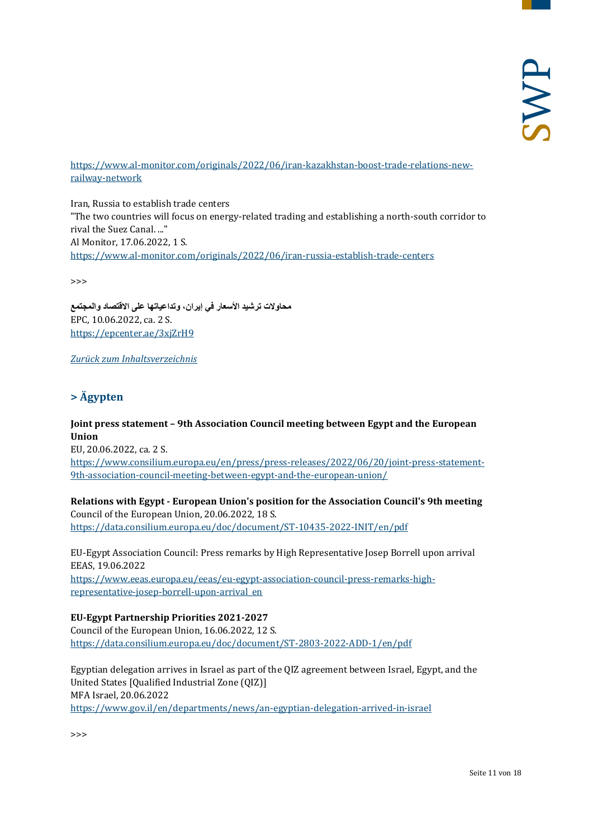#### [https://www.al-monitor.com/originals/2022/06/iran-kazakhstan-boost-trade-relations-new](https://www.al-monitor.com/originals/2022/06/iran-kazakhstan-boost-trade-relations-new-railway-network)[railway-network](https://www.al-monitor.com/originals/2022/06/iran-kazakhstan-boost-trade-relations-new-railway-network)

Iran, Russia to establish trade centers "The two countries will focus on energy-related trading and establishing a north-south corridor to rival the Suez Canal. ..." Al Monitor, 17.06.2022, 1 S. <https://www.al-monitor.com/originals/2022/06/iran-russia-establish-trade-centers>

>>>

**محاولات ترشید الأسعار في إیران، وتداعیاتھا على الاقتصاد والمجتمع** EPC, 10.06.2022, ca. 2 S. <https://epcenter.ae/3xjZrH9>

<span id="page-10-0"></span>*[Zurück zum Inhaltsverzeichnis](#page-0-0)*

# **> Ägypten**

**Joint press statement – 9th Association Council meeting between Egypt and the European Union**

EU, 20.06.2022, ca. 2 S. [https://www.consilium.europa.eu/en/press/press-releases/2022/06/20/joint-press-statement-](https://www.consilium.europa.eu/en/press/press-releases/2022/06/20/joint-press-statement-9th-association-council-meeting-between-egypt-and-the-european-union/)[9th-association-council-meeting-between-egypt-and-the-european-union/](https://www.consilium.europa.eu/en/press/press-releases/2022/06/20/joint-press-statement-9th-association-council-meeting-between-egypt-and-the-european-union/)

#### **Relations with Egypt - European Union's position for the Association Council's 9th meeting** Council of the European Union, 20.06.2022, 18 S.

<https://data.consilium.europa.eu/doc/document/ST-10435-2022-INIT/en/pdf>

EU-Egypt Association Council: Press remarks by High Representative Josep Borrell upon arrival EEAS, 19.06.2022 [https://www.eeas.europa.eu/eeas/eu-egypt-association-council-press-remarks-high](https://www.eeas.europa.eu/eeas/eu-egypt-association-council-press-remarks-high-representative-josep-borrell-upon-arrival_en)[representative-josep-borrell-upon-arrival\\_en](https://www.eeas.europa.eu/eeas/eu-egypt-association-council-press-remarks-high-representative-josep-borrell-upon-arrival_en)

# **EU-Egypt Partnership Priorities 2021-2027**

Council of the European Union, 16.06.2022, 12 S. <https://data.consilium.europa.eu/doc/document/ST-2803-2022-ADD-1/en/pdf>

Egyptian delegation arrives in Israel as part of the QIZ agreement between Israel, Egypt, and the United States [Qualified Industrial Zone (QIZ)] MFA Israel, 20.06.2022 <https://www.gov.il/en/departments/news/an-egyptian-delegation-arrived-in-israel>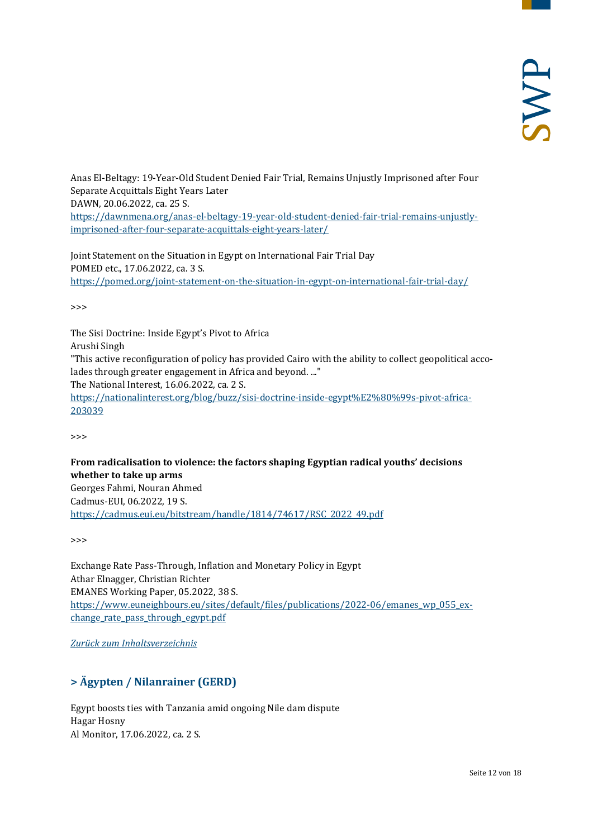Anas El-Beltagy: 19-Year-Old Student Denied Fair Trial, Remains Unjustly Imprisoned after Four Separate Acquittals Eight Years Later DAWN, 20.06.2022, ca. 25 S. [https://dawnmena.org/anas-el-beltagy-19-year-old-student-denied-fair-trial-remains-unjustly](https://dawnmena.org/anas-el-beltagy-19-year-old-student-denied-fair-trial-remains-unjustly-imprisoned-after-four-separate-acquittals-eight-years-later/)[imprisoned-after-four-separate-acquittals-eight-years-later/](https://dawnmena.org/anas-el-beltagy-19-year-old-student-denied-fair-trial-remains-unjustly-imprisoned-after-four-separate-acquittals-eight-years-later/)

Joint Statement on the Situation in Egypt on International Fair Trial Day POMED etc., 17.06.2022, ca. 3 S. <https://pomed.org/joint-statement-on-the-situation-in-egypt-on-international-fair-trial-day/>

>>>

The Sisi Doctrine: Inside Egypt's Pivot to Africa Arushi Singh "This active reconfiguration of policy has provided Cairo with the ability to collect geopolitical accolades through greater engagement in Africa and beyond. ..." The National Interest, 16.06.2022, ca. 2 S. [https://nationalinterest.org/blog/buzz/sisi-doctrine-inside-egypt%E2%80%99s-pivot-africa-](https://nationalinterest.org/blog/buzz/sisi-doctrine-inside-egypt%E2%80%99s-pivot-africa-203039)[203039](https://nationalinterest.org/blog/buzz/sisi-doctrine-inside-egypt%E2%80%99s-pivot-africa-203039)

>>>

# **From radicalisation to violence: the factors shaping Egyptian radical youths' decisions whether to take up arms**

Georges Fahmi, Nouran Ahmed Cadmus-EUI, 06.2022, 19 S. [https://cadmus.eui.eu/bitstream/handle/1814/74617/RSC\\_2022\\_49.pdf](https://cadmus.eui.eu/bitstream/handle/1814/74617/RSC_2022_49.pdf)

>>>

Exchange Rate Pass-Through, Inflation and Monetary Policy in Egypt Athar Elnagger, Christian Richter EMANES Working Paper, 05.2022, 38 S. [https://www.euneighbours.eu/sites/default/files/publications/2022-06/emanes\\_wp\\_055\\_ex](https://www.euneighbours.eu/sites/default/files/publications/2022-06/emanes_wp_055_exchange_rate_pass_through_egypt.pdf)change rate pass through egypt.pdf

<span id="page-11-0"></span>*[Zurück zum Inhaltsverzeichnis](#page-0-0)*

# **> Ägypten / Nilanrainer (GERD)**

Egypt boosts ties with Tanzania amid ongoing Nile dam dispute Hagar Hosny Al Monitor, 17.06.2022, ca. 2 S.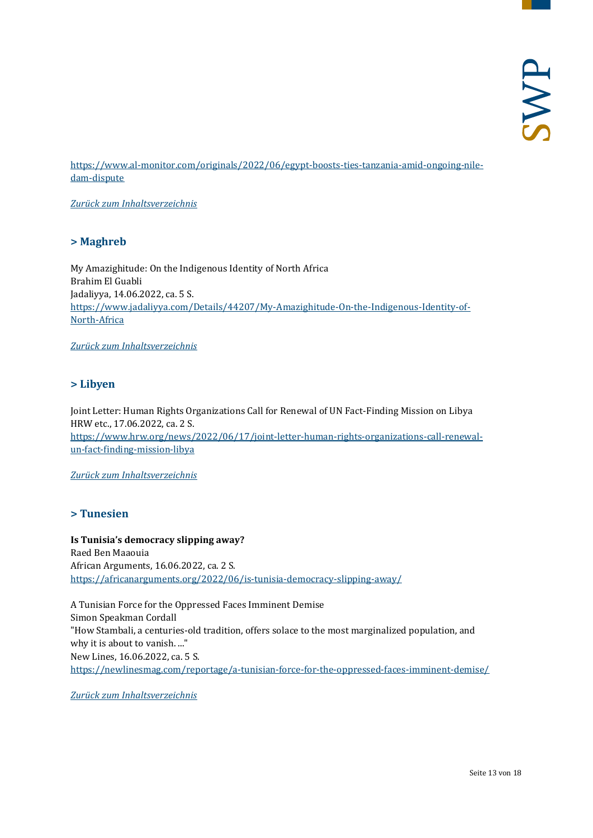[https://www.al-monitor.com/originals/2022/06/egypt-boosts-ties-tanzania-amid-ongoing-nile](https://www.al-monitor.com/originals/2022/06/egypt-boosts-ties-tanzania-amid-ongoing-nile-dam-dispute)[dam-dispute](https://www.al-monitor.com/originals/2022/06/egypt-boosts-ties-tanzania-amid-ongoing-nile-dam-dispute)

<span id="page-12-0"></span>*[Zurück zum Inhaltsverzeichnis](#page-0-0)*

#### **> Maghreb**

My Amazighitude: On the Indigenous Identity of North Africa Brahim El Guabli Jadaliyya, 14.06.2022, ca. 5 S. [https://www.jadaliyya.com/Details/44207/My-Amazighitude-On-the-Indigenous-Identity-of-](https://www.jadaliyya.com/Details/44207/My-Amazighitude-On-the-Indigenous-Identity-of-North-Africa)[North-Africa](https://www.jadaliyya.com/Details/44207/My-Amazighitude-On-the-Indigenous-Identity-of-North-Africa)

<span id="page-12-1"></span>*[Zurück zum Inhaltsverzeichnis](#page-0-0)*

# **> Libyen**

Joint Letter: Human Rights Organizations Call for Renewal of UN Fact-Finding Mission on Libya HRW etc., 17.06.2022, ca. 2 S. [https://www.hrw.org/news/2022/06/17/joint-letter-human-rights-organizations-call-renewal](https://www.hrw.org/news/2022/06/17/joint-letter-human-rights-organizations-call-renewal-un-fact-finding-mission-libya)[un-fact-finding-mission-libya](https://www.hrw.org/news/2022/06/17/joint-letter-human-rights-organizations-call-renewal-un-fact-finding-mission-libya)

<span id="page-12-2"></span>*[Zurück zum Inhaltsverzeichnis](#page-0-0)*

# **> Tunesien**

**Is Tunisia's democracy slipping away?** Raed Ben Maaouia African Arguments, 16.06.2022, ca. 2 S. <https://africanarguments.org/2022/06/is-tunisia-democracy-slipping-away/>

A Tunisian Force for the Oppressed Faces Imminent Demise Simon Speakman Cordall "How Stambali, a centuries-old tradition, offers solace to the most marginalized population, and why it is about to vanish. ..." New Lines, 16.06.2022, ca. 5 S. <https://newlinesmag.com/reportage/a-tunisian-force-for-the-oppressed-faces-imminent-demise/>

*[Zurück zum Inhaltsverzeichnis](#page-0-0)*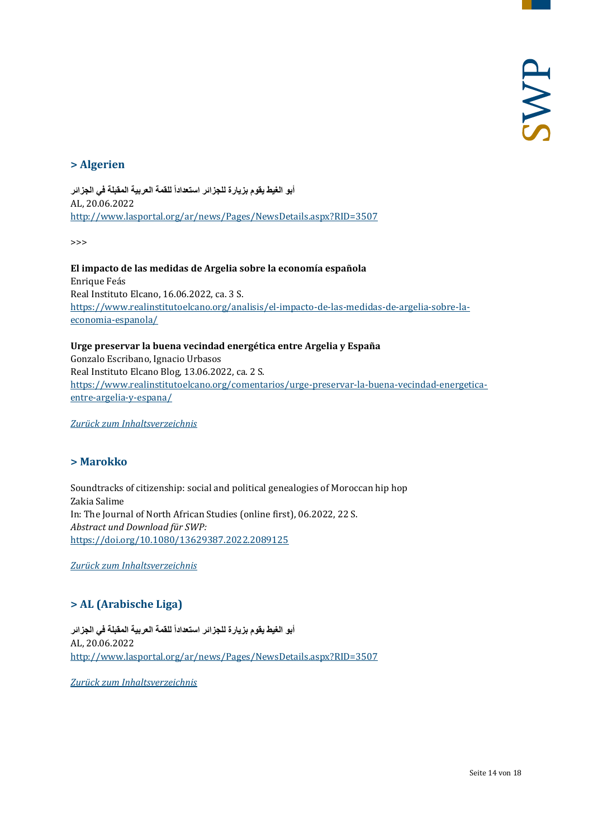# <span id="page-13-0"></span>**> Algerien**

أبو ا**لغيط يقوم بزيارة للجز**ائر استعداداً للقمة العربية المقبلة في الجزائر AL, 20.06.2022 <http://www.lasportal.org/ar/news/Pages/NewsDetails.aspx?RID=3507>

>>>

**El impacto de las medidas de Argelia sobre la economía española** Enrique Feás Real Instituto Elcano, 16.06.2022, ca. 3 S. [https://www.realinstitutoelcano.org/analisis/el-impacto-de-las-medidas-de-argelia-sobre-la](https://www.realinstitutoelcano.org/analisis/el-impacto-de-las-medidas-de-argelia-sobre-la-economia-espanola/)[economia-espanola/](https://www.realinstitutoelcano.org/analisis/el-impacto-de-las-medidas-de-argelia-sobre-la-economia-espanola/)

**Urge preservar la buena vecindad energética entre Argelia y España** Gonzalo Escribano, Ignacio Urbasos Real Instituto Elcano Blog, 13.06.2022, ca. 2 S. [https://www.realinstitutoelcano.org/comentarios/urge-preservar-la-buena-vecindad-energetica](https://www.realinstitutoelcano.org/comentarios/urge-preservar-la-buena-vecindad-energetica-entre-argelia-y-espana/)[entre-argelia-y-espana/](https://www.realinstitutoelcano.org/comentarios/urge-preservar-la-buena-vecindad-energetica-entre-argelia-y-espana/)

<span id="page-13-1"></span>*[Zurück zum Inhaltsverzeichnis](#page-0-0)*

# **> Marokko**

Soundtracks of citizenship: social and political genealogies of Moroccan hip hop Zakia Salime In: The Journal of North African Studies (online first), 06.2022, 22 S. *Abstract und Download für SWP:* <https://doi.org/10.1080/13629387.2022.2089125>

<span id="page-13-2"></span>*[Zurück zum Inhaltsverzeichnis](#page-0-0)*

# **> AL (Arabische Liga)**

أبو ا**لغيط يقوم بزيارة للجز**ائر استعداداً للقمة العربية المقبلة في الجزائر AL, 20.06.2022 <http://www.lasportal.org/ar/news/Pages/NewsDetails.aspx?RID=3507>

*[Zurück zum Inhaltsverzeichnis](#page-0-0)*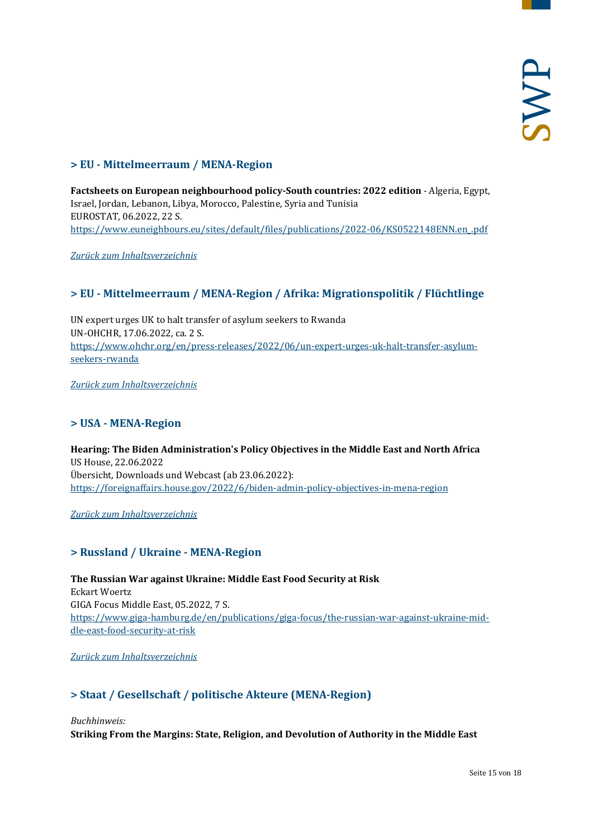# <span id="page-14-0"></span>**> EU - Mittelmeerraum / MENA-Region**

**Factsheets on European neighbourhood policy-South countries: 2022 edition** - Algeria, Egypt, Israel, Jordan, Lebanon, Libya, Morocco, Palestine, Syria and Tunisia EUROSTAT, 06.2022, 22 S. [https://www.euneighbours.eu/sites/default/files/publications/2022-06/KS0522148ENN.en\\_.pdf](https://www.euneighbours.eu/sites/default/files/publications/2022-06/KS0522148ENN.en_.pdf)

<span id="page-14-1"></span>*[Zurück zum Inhaltsverzeichnis](#page-0-0)*

# **> EU - Mittelmeerraum / MENA-Region / Afrika: Migrationspolitik / Flüchtlinge**

UN expert urges UK to halt transfer of asylum seekers to Rwanda UN-OHCHR, 17.06.2022, ca. 2 S. [https://www.ohchr.org/en/press-releases/2022/06/un-expert-urges-uk-halt-transfer-asylum](https://www.ohchr.org/en/press-releases/2022/06/un-expert-urges-uk-halt-transfer-asylum-seekers-rwanda)[seekers-rwanda](https://www.ohchr.org/en/press-releases/2022/06/un-expert-urges-uk-halt-transfer-asylum-seekers-rwanda)

<span id="page-14-2"></span>*[Zurück zum Inhaltsverzeichnis](#page-0-0)*

# **> USA - MENA-Region**

**Hearing: The Biden Administration's Policy Objectives in the Middle East and North Africa** US House, 22.06.2022 Übersicht, Downloads und Webcast (ab 23.06.2022): <https://foreignaffairs.house.gov/2022/6/biden-admin-policy-objectives-in-mena-region>

<span id="page-14-3"></span>*[Zurück zum Inhaltsverzeichnis](#page-0-0)*

# **> Russland / Ukraine - MENA-Region**

**The Russian War against Ukraine: Middle East Food Security at Risk** Eckart Woertz GIGA Focus Middle East, 05.2022, 7 S. [https://www.giga-hamburg.de/en/publications/giga-focus/the-russian-war-against-ukraine-mid](https://www.giga-hamburg.de/en/publications/giga-focus/the-russian-war-against-ukraine-middle-east-food-security-at-risk)[dle-east-food-security-at-risk](https://www.giga-hamburg.de/en/publications/giga-focus/the-russian-war-against-ukraine-middle-east-food-security-at-risk)

<span id="page-14-4"></span>*[Zurück zum Inhaltsverzeichnis](#page-0-0)*

# **> Staat / Gesellschaft / politische Akteure (MENA-Region)**

*Buchhinweis:*

**Striking From the Margins: State, Religion, and Devolution of Authority in the Middle East**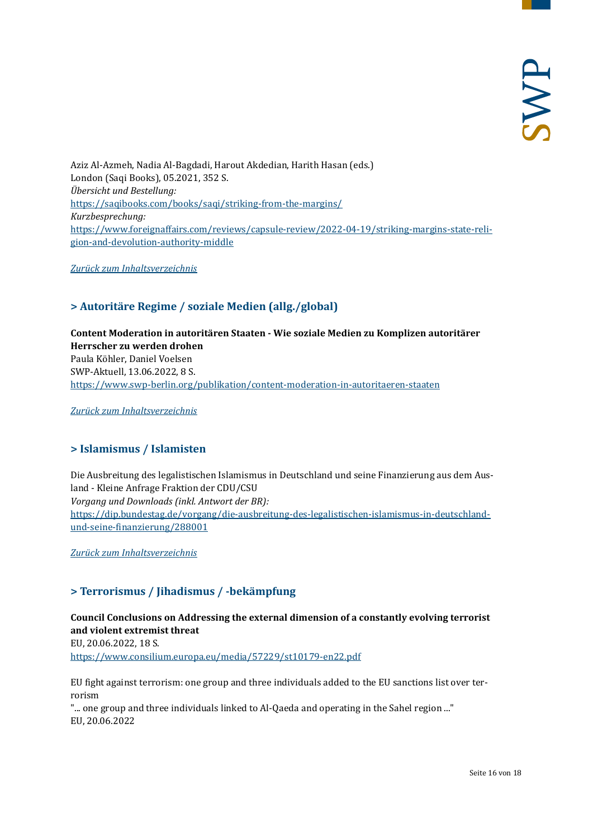Aziz Al-Azmeh, Nadia Al-Bagdadi, Harout Akdedian, Harith Hasan (eds.) London (Saqi Books), 05.2021, 352 S. *Übersicht und Bestellung:* <https://saqibooks.com/books/saqi/striking-from-the-margins/> *Kurzbesprechung:* [https://www.foreignaffairs.com/reviews/capsule-review/2022-04-19/striking-margins-state-reli](https://www.foreignaffairs.com/reviews/capsule-review/2022-04-19/striking-margins-state-religion-and-devolution-authority-middle)[gion-and-devolution-authority-middle](https://www.foreignaffairs.com/reviews/capsule-review/2022-04-19/striking-margins-state-religion-and-devolution-authority-middle)

<span id="page-15-0"></span>*[Zurück zum Inhaltsverzeichnis](#page-0-0)*

# **> Autoritäre Regime / soziale Medien (allg./global)**

**Content Moderation in autoritären Staaten - Wie soziale Medien zu Komplizen autoritärer Herrscher zu werden drohen** Paula Köhler, Daniel Voelsen SWP-Aktuell, 13.06.2022, 8 S. <https://www.swp-berlin.org/publikation/content-moderation-in-autoritaeren-staaten>

<span id="page-15-1"></span>*[Zurück zum Inhaltsverzeichnis](#page-0-0)*

# **> Islamismus / Islamisten**

Die Ausbreitung des legalistischen Islamismus in Deutschland und seine Finanzierung aus dem Ausland - Kleine Anfrage Fraktion der CDU/CSU *Vorgang und Downloads (inkl. Antwort der BR):* [https://dip.bundestag.de/vorgang/die-ausbreitung-des-legalistischen-islamismus-in-deutschland](https://dip.bundestag.de/vorgang/die-ausbreitung-des-legalistischen-islamismus-in-deutschland-und-seine-finanzierung/288001)[und-seine-finanzierung/288001](https://dip.bundestag.de/vorgang/die-ausbreitung-des-legalistischen-islamismus-in-deutschland-und-seine-finanzierung/288001)

<span id="page-15-2"></span>*[Zurück zum Inhaltsverzeichnis](#page-0-0)*

# **> Terrorismus / Jihadismus / -bekämpfung**

# **Council Conclusions on Addressing the external dimension of a constantly evolving terrorist and violent extremist threat**

EU, 20.06.2022, 18 S. <https://www.consilium.europa.eu/media/57229/st10179-en22.pdf>

EU fight against terrorism: one group and three individuals added to the EU sanctions list over terrorism

"... one group and three individuals linked to Al-Qaeda and operating in the Sahel region ..." EU, 20.06.2022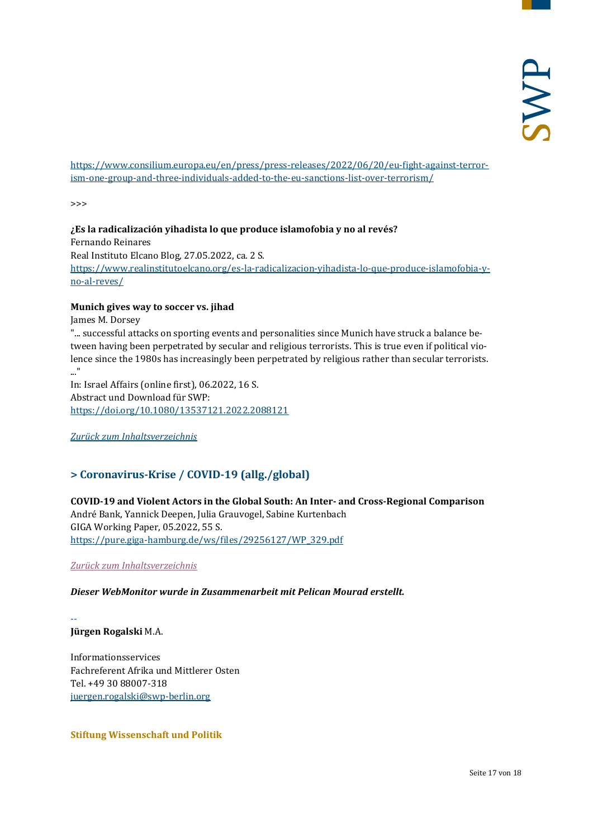[https://www.consilium.europa.eu/en/press/press-releases/2022/06/20/eu-fight-against-terror](https://www.consilium.europa.eu/en/press/press-releases/2022/06/20/eu-fight-against-terrorism-one-group-and-three-individuals-added-to-the-eu-sanctions-list-over-terrorism/)[ism-one-group-and-three-individuals-added-to-the-eu-sanctions-list-over-terrorism/](https://www.consilium.europa.eu/en/press/press-releases/2022/06/20/eu-fight-against-terrorism-one-group-and-three-individuals-added-to-the-eu-sanctions-list-over-terrorism/)

>>>

**¿Es la radicalización yihadista lo que produce islamofobia y no al revés?** Fernando Reinares Real Instituto Elcano Blog, 27.05.2022, ca. 2 S. [https://www.realinstitutoelcano.org/es-la-radicalizacion-yihadista-lo-que-produce-islamofobia-y](https://www.realinstitutoelcano.org/es-la-radicalizacion-yihadista-lo-que-produce-islamofobia-y-no-al-reves/)[no-al-reves/](https://www.realinstitutoelcano.org/es-la-radicalizacion-yihadista-lo-que-produce-islamofobia-y-no-al-reves/)

#### **Munich gives way to soccer vs. jihad**

James M. Dorsey

"... successful attacks on sporting events and personalities since Munich have struck a balance between having been perpetrated by secular and religious terrorists. This is true even if political violence since the 1980s has increasingly been perpetrated by religious rather than secular terrorists. ..."

In: Israel Affairs (online first), 06.2022, 16 S. Abstract und Download für SWP: <https://doi.org/10.1080/13537121.2022.2088121>

<span id="page-16-0"></span>*[Zurück zum Inhaltsverzeichnis](#page-0-0)*

# **> Coronavirus-Krise / COVID-19 (allg./global)**

#### **COVID-19 and Violent Actors in the Global South: An Inter- and Cross-Regional Comparison**

André Bank, Yannick Deepen, Julia Grauvogel, Sabine Kurtenbach GIGA Working Paper, 05.2022, 55 S. [https://pure.giga-hamburg.de/ws/files/29256127/WP\\_329.pdf](https://pure.giga-hamburg.de/ws/files/29256127/WP_329.pdf)

*[Zurück zum Inhaltsverzeichnis](#page-0-0)*

#### *Dieser WebMonitor wurde in Zusammenarbeit mit Pelican Mourad erstellt.*

-- **Jürgen Rogalski** M.A.

Informationsservices Fachreferent Afrika und Mittlerer Osten Tel. +49 30 88007-318 [juergen.rogalski@swp-berlin.org](mailto:juergen.rogalski@swp-berlin.org)

**Stiftung Wissenschaft und Politik**